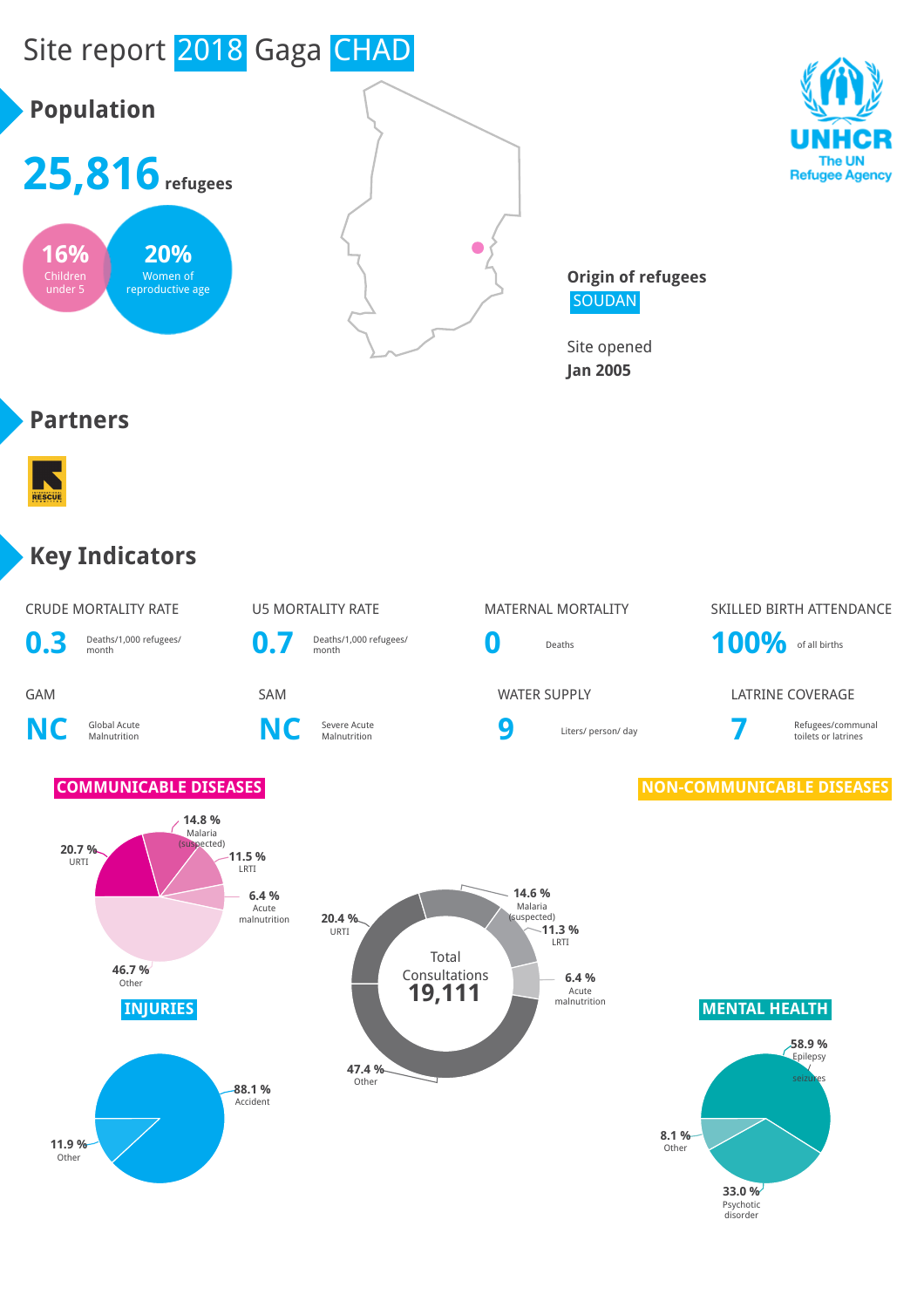

#### **Key Indicators**



The UN **Refugee Agency**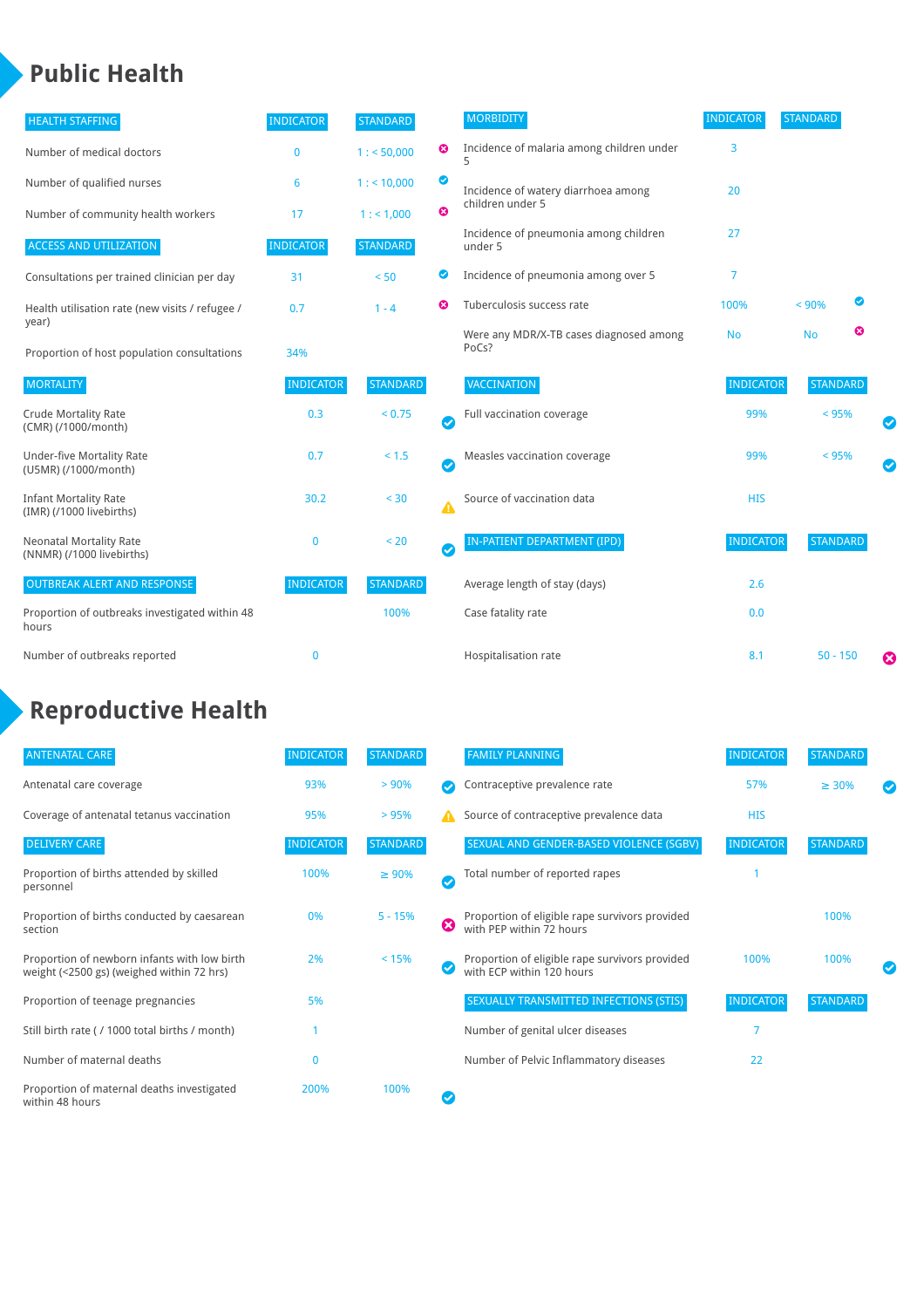### **Public Health**

| <b>HEALTH STAFFING</b>                                      | <b>INDICATOR</b> | <b>STANDARD</b> |           | <b>MORBIDITY</b>                                 | <b>INDICATOR</b> | <b>STANDARD</b> |   |   |
|-------------------------------------------------------------|------------------|-----------------|-----------|--------------------------------------------------|------------------|-----------------|---|---|
| Number of medical doctors                                   | 0                | 1: 50,000       | ☺         | Incidence of malaria among children under        | 3                |                 |   |   |
| Number of qualified nurses                                  | 6                | $1:$ < 10,000   | ◎         | Incidence of watery diarrhoea among              | 20               |                 |   |   |
| Number of community health workers                          | 17               | 1: 1,000        | ೞ         | children under 5                                 |                  |                 |   |   |
| <b>ACCESS AND UTILIZATION</b>                               | <b>INDICATOR</b> | <b>STANDARD</b> |           | Incidence of pneumonia among children<br>under 5 | 27               |                 |   |   |
| Consultations per trained clinician per day                 | 31               | < 50            | ◙         | Incidence of pneumonia among over 5              | 7                |                 |   |   |
| Health utilisation rate (new visits / refugee /             | 0.7              | $1 - 4$         | Ø         | Tuberculosis success rate                        | 100%             | < 90%           | ◙ |   |
| year)<br>Proportion of host population consultations        | 34%              |                 |           | Were any MDR/X-TB cases diagnosed among<br>PoCs? | <b>No</b>        | <b>No</b>       | ☺ |   |
| <b>MORTALITY</b>                                            | <b>INDICATOR</b> | <b>STANDARD</b> |           | VACCINATION                                      | <b>INDICATOR</b> | <b>STANDARD</b> |   |   |
| <b>Crude Mortality Rate</b><br>(CMR) (/1000/month)          | 0.3              | < 0.75          | Ø         | Full vaccination coverage                        | 99%              | $< 95\%$        |   |   |
| <b>Under-five Mortality Rate</b><br>(U5MR) (/1000/month)    | 0.7              | $< 1.5$         | $\bullet$ | Measles vaccination coverage                     | 99%              | < 95%           |   |   |
| <b>Infant Mortality Rate</b><br>(IMR) (/1000 livebirths)    | 30.2             | < 30            | Δ         | Source of vaccination data                       | <b>HIS</b>       |                 |   |   |
| <b>Neonatal Mortality Rate</b><br>(NNMR) (/1000 livebirths) | $\mathbf{0}$     | < 20            | $\bullet$ | <b>IN-PATIENT DEPARTMENT (IPD)</b>               | <b>INDICATOR</b> | <b>STANDARD</b> |   |   |
| <b>OUTBREAK ALERT AND RESPONSE</b>                          | <b>INDICATOR</b> | <b>STANDARD</b> |           | Average length of stay (days)                    | 2.6              |                 |   |   |
| Proportion of outbreaks investigated within 48<br>hours     |                  | 100%            |           | Case fatality rate                               | 0.0              |                 |   |   |
| Number of outbreaks reported                                | $\mathbf{0}$     |                 |           | Hospitalisation rate                             | 8.1              | $50 - 150$      |   | Ø |

## **Reproductive Health**

| <b>ANTENATAL CARE</b>                                                                     | <b>INDICATOR</b> | <b>STANDARD</b> |   | <b>FAMILY PLANNING</b>                                                      | <b>INDICATOR</b> | <b>STANDARD</b> |  |
|-------------------------------------------------------------------------------------------|------------------|-----------------|---|-----------------------------------------------------------------------------|------------------|-----------------|--|
| Antenatal care coverage                                                                   | 93%              | > 90%           |   | Contraceptive prevalence rate                                               | 57%              | $\geq 30\%$     |  |
| Coverage of antenatal tetanus vaccination                                                 | 95%              | >95%            |   | Source of contraceptive prevalence data                                     | <b>HIS</b>       |                 |  |
| <b>DELIVERY CARE</b>                                                                      | <b>INDICATOR</b> | <b>STANDARD</b> |   | SEXUAL AND GENDER-BASED VIOLENCE (SGBV)                                     | <b>INDICATOR</b> | <b>STANDARD</b> |  |
| Proportion of births attended by skilled<br>personnel                                     | 100%             | $\geq 90\%$     | ✓ | Total number of reported rapes                                              |                  |                 |  |
| Proportion of births conducted by caesarean<br>section                                    | 0%               | $5 - 15%$       | Ø | Proportion of eligible rape survivors provided<br>with PEP within 72 hours  |                  | 100%            |  |
| Proportion of newborn infants with low birth<br>weight (<2500 gs) (weighed within 72 hrs) | 2%               | < 15%           |   | Proportion of eligible rape survivors provided<br>with ECP within 120 hours | 100%             | 100%            |  |
| Proportion of teenage pregnancies                                                         | 5%               |                 |   | SEXUALLY TRANSMITTED INFECTIONS (STIS)                                      | <b>INDICATOR</b> | <b>STANDARD</b> |  |
| Still birth rate (/ 1000 total births / month)                                            |                  |                 |   | Number of genital ulcer diseases                                            | 7                |                 |  |
| Number of maternal deaths                                                                 |                  |                 |   | Number of Pelvic Inflammatory diseases                                      | 22               |                 |  |
| Proportion of maternal deaths investigated<br>within 48 hours                             | 200%             | 100%            |   |                                                                             |                  |                 |  |